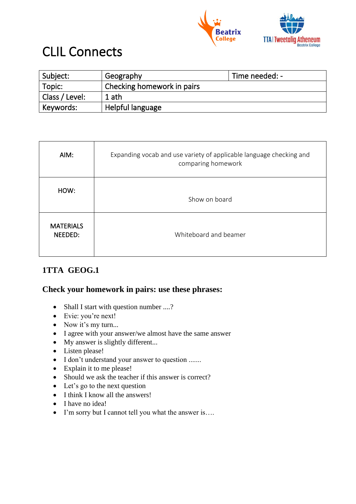



## CLIL Connects

| ' Subject:     | Geography                  | Time needed: - |
|----------------|----------------------------|----------------|
| Topic:         | Checking homework in pairs |                |
| Class / Level: | 1 ath                      |                |
| Keywords:      | Helpful language           |                |

| AIM:                        | Expanding vocab and use variety of applicable language checking and<br>comparing homework |  |
|-----------------------------|-------------------------------------------------------------------------------------------|--|
| HOW:                        | Show on board                                                                             |  |
| <b>MATERIALS</b><br>NEEDED: | Whiteboard and beamer                                                                     |  |

## **1TTA GEOG.1**

## **Check your homework in pairs: use these phrases:**

- Shall I start with question number ....?
- Evie: you're next!
- Now it's my turn...
- I agree with your answer/we almost have the same answer
- My answer is slightly different...
- Listen please!
- I don't understand your answer to question .......
- Explain it to me please!
- Should we ask the teacher if this answer is correct?
- Let's go to the next question
- I think I know all the answers!
- I have no idea!
- I'm sorry but I cannot tell you what the answer is….